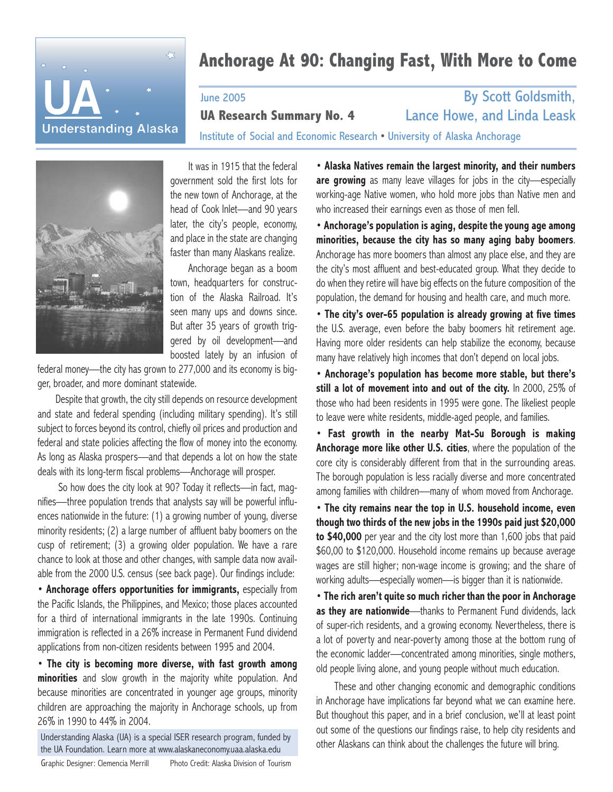

# **Anchorage At 90: Changing Fast, With More to Come**

June 2005 By Scott Goldsmith,

**UA Research Summary No. 4**

Institute of Social and Economic Research • University of Alaska Anchorage



It was in 1915 that the federal government sold the first lots for the new town of Anchorage, at the head of Cook Inlet—and 90 years later, the city's people, economy, and place in the state are changing faster than many Alaskans realize.

Anchorage began as a boom town, headquarters for construction of the Alaska Railroad. It's seen many ups and downs since. But after 35 years of growth triggered by oil development—and boosted lately by an infusion of

federal money—the city has grown to 277,000 and its economy is bigger, broader, and more dominant statewide.

Despite that growth, the city still depends on resource development and state and federal spending (including military spending). It's still subject to forces beyond its control, chiefly oil prices and production and federal and state policies affecting the flow of money into the economy. As long as Alaska prospers—and that depends a lot on how the state deals with its long-term fiscal problems—Anchorage will prosper.

So how does the city look at 90? Today it reflects—in fact, magnifies—three population trends that analysts say will be powerful influences nationwide in the future: (1) a growing number of young, diverse minority residents; (2) a large number of affluent baby boomers on the cusp of retirement; (3) a growing older population. We have a rare chance to look at those and other changes, with sample data now available from the 2000 U.S. census (see back page). Our findings include:

• **Anchorage offers opportunities for immigrants,** especially from the Pacific Islands, the Philippines, and Mexico; those places accounted for a third of international immigrants in the late 1990s. Continuing immigration is reflected in a 26% increase in Permanent Fund dividend applications from non-citizen residents between 1995 and 2004.

• **The city is becoming more diverse, with fast growth among minorities** and slow growth in the majority white population. And because minorities are concentrated in younger age groups, minority children are approaching the majority in Anchorage schools, up from 26% in 1990 to 44% in 2004.

Understanding Alaska (UA) is a special ISER research program, funded by the UA Foundation. Learn more at www.alaskaneconomy.uaa.alaska.edu

Photo Credit: Alaska Division of Tourism Graphic Designer: Clemencia Merrill

• **Alaska Natives remain the largest minority, and their numbers are growing** as many leave villages for jobs in the city—especially working-age Native women, who hold more jobs than Native men and who increased their earnings even as those of men fell.

Lance Howe, and Linda Leask

• **Anchorage's population is aging, despite the young age among minorities, because the city has so many aging baby boomers**. Anchorage has more boomers than almost any place else, and they are the city's most affluent and best-educated group. What they decide to do when they retire will have big effects on the future composition of the population, the demand for housing and health care, and much more.

• **The city's over-65 population is already growing at five times** the U.S. average, even before the baby boomers hit retirement age. Having more older residents can help stabilize the economy, because many have relatively high incomes that don't depend on local jobs.

• **Anchorage's population has become more stable, but there's still a lot of movement into and out of the city.** In 2000, 25% of those who had been residents in 1995 were gone. The likeliest people to leave were white residents, middle-aged people, and families.

• **Fast growth in the nearby Mat-Su Borough is making Anchorage more like other U.S. cities**, where the population of the core city is considerably different from that in the surrounding areas. The borough population is less racially diverse and more concentrated among families with children—many of whom moved from Anchorage.

• **The city remains near the top in U.S. household income, even though two thirds of the new jobs in the 1990s paid just \$20,000 to \$40,000** per year and the city lost more than 1,600 jobs that paid \$60,00 to \$120,000. Household income remains up because average wages are still higher; non-wage income is growing; and the share of working adults—especially women—is bigger than it is nationwide.

• **The rich aren't quite so much richer than the poor in Anchorage as they are nationwide**—thanks to Permanent Fund dividends, lack of super-rich residents, and a growing economy. Nevertheless, there is a lot of poverty and near-poverty among those at the bottom rung of the economic ladder—concentrated among minorities, single mothers, old people living alone, and young people without much education.

These and other changing economic and demographic conditions in Anchorage have implications far beyond what we can examine here. But thoughout this paper, and in a brief conclusion, we'll at least point out some of the questions our findings raise, to help city residents and other Alaskans can think about the challenges the future will bring.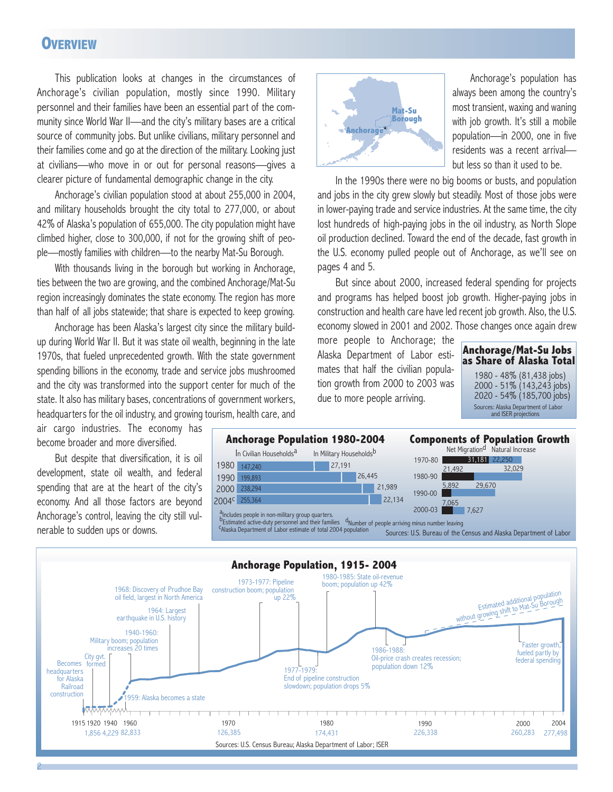### **OVERVIEW**

This publication looks at changes in the circumstances of Anchorage's civilian population, mostly since 1990. Military personnel and their families have been an essential part of the community since World War II—and the city's military bases are a critical source of community jobs. But unlike civilians, military personnel and their families come and go at the direction of the military. Looking just at civilians—who move in or out for personal reasons—gives a clearer picture of fundamental demographic change in the city.

Anchorage's civilian population stood at about 255,000 in 2004, and military households brought the city total to 277,000, or about 42% of Alaska's population of 655,000. The city population might have climbed higher, close to 300,000, if not for the growing shift of people—mostly families with children—to the nearby Mat-Su Borough.

With thousands living in the borough but working in Anchorage, ties between the two are growing, and the combined Anchorage/Mat-Su region increasingly dominates the state economy. The region has more than half of all jobs statewide; that share is expected to keep growing.

Anchorage has been Alaska's largest city since the military buildup during World War II. But it was state oil wealth, beginning in the late 1970s, that fueled unprecedented growth. With the state government spending billions in the economy, trade and service jobs mushroomed and the city was transformed into the support center for much of the state. It also has military bases, concentrations of government workers, headquarters for the oil industry, and growing tourism, health care, and

air cargo industries. The economy has become broader and more diversified.

But despite that diversification, it is oil development, state oil wealth, and federal spending that are at the heart of the city's economy. And all those factors are beyond Anchorage's control, leaving the city still vulnerable to sudden ups or downs.

2



Anchorage's population has always been among the country's most transient, waxing and waning with job growth. It's still a mobile population—in 2000, one in five residents was a recent arrival but less so than it used to be.

In the 1990s there were no big booms or busts, and population and jobs in the city grew slowly but steadily. Most of those jobs were in lower-paying trade and service industries. At the same time, the city lost hundreds of high-paying jobs in the oil industry, as North Slope oil production declined. Toward the end of the decade, fast growth in the U.S. economy pulled people out of Anchorage, as we'll see on pages 4 and 5.

But since about 2000, increased federal spending for projects and programs has helped boost job growth. Higher-paying jobs in construction and health care have led recent job growth. Also, the U.S. economy slowed in 2001 and 2002. Those changes once again drew

more people to Anchorage; the Alaska Department of Labor estimates that half the civilian population growth from 2000 to 2003 was due to more people arriving.





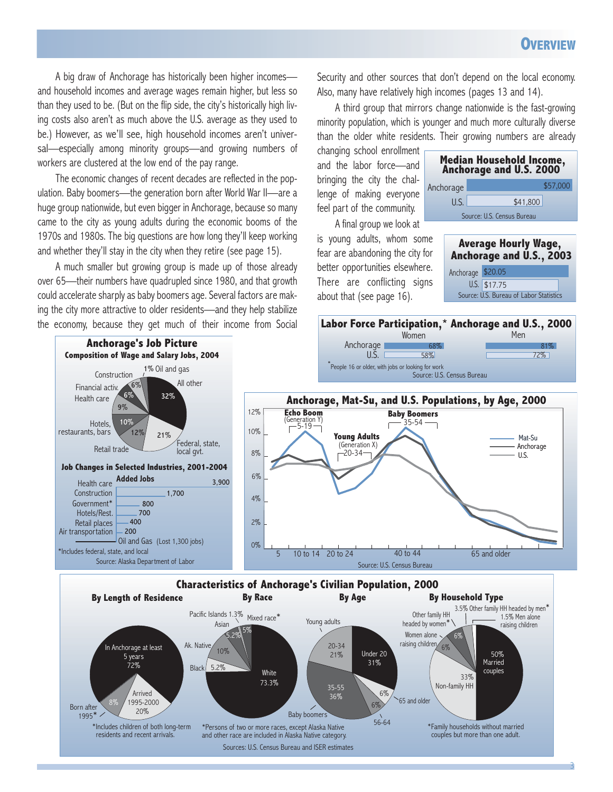A big draw of Anchorage has historically been higher incomes and household incomes and average wages remain higher, but less so than they used to be. (But on the flip side, the city's historically high living costs also aren't as much above the U.S. average as they used to be.) However, as we'll see, high household incomes aren't universal—especially among minority groups—and growing numbers of workers are clustered at the low end of the pay range.

The economic changes of recent decades are reflected in the population. Baby boomers—the generation born after World War II—are a huge group nationwide, but even bigger in Anchorage, because so many came to the city as young adults during the economic booms of the 1970s and 1980s. The big questions are how long they'll keep working and whether they'll stay in the city when they retire (see page 15).

A much smaller but growing group is made up of those already over 65—their numbers have quadrupled since 1980, and that growth could accelerate sharply as baby boomers age. Several factors are making the city more attractive to older residents—and they help stabilize the economy, because they get much of their income from Social Security and other sources that don't depend on the local economy. Also, many have relatively high incomes (pages 13 and 14).

A third group that mirrors change nationwide is the fast-growing minority population, which is younger and much more culturally diverse than the older white residents. Their growing numbers are already

changing school enrollment and the labor force—and bringing the city the challenge of making everyone feel part of the community.

A final group we look at is young adults, whom some fear are abandoning the city for better opportunities elsewhere. There are conflicting signs about that (see page 16).







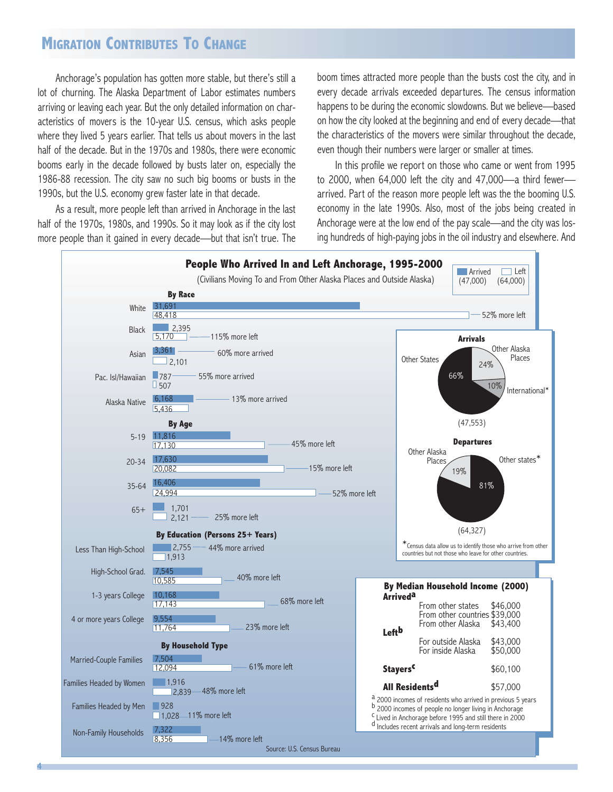# **MIGRATION CONTRIBUTES TO CHANGE**

Anchorage's population has gotten more stable, but there's still a lot of churning. The Alaska Department of Labor estimates numbers arriving or leaving each year. But the only detailed information on characteristics of movers is the 10-year U.S. census, which asks people where they lived 5 years earlier. That tells us about movers in the last half of the decade. But in the 1970s and 1980s, there were economic booms early in the decade followed by busts later on, especially the 1986-88 recession. The city saw no such big booms or busts in the 1990s, but the U.S. economy grew faster late in that decade.

As a result, more people left than arrived in Anchorage in the last half of the 1970s, 1980s, and 1990s. So it may look as if the city lost more people than it gained in every decade—but that isn't true. The

4

boom times attracted more people than the busts cost the city, and in every decade arrivals exceeded departures. The census information happens to be during the economic slowdowns. But we believe—based on how the city looked at the beginning and end of every decade—that the characteristics of the movers were similar throughout the decade, even though their numbers were larger or smaller at times.

In this profile we report on those who came or went from 1995 to 2000, when 64,000 left the city and 47,000—a third fewer arrived. Part of the reason more people left was the the booming U.S. economy in the late 1990s. Also, most of the jobs being created in Anchorage were at the low end of the pay scale—and the city was losing hundreds of high-paying jobs in the oil industry and elsewhere. And

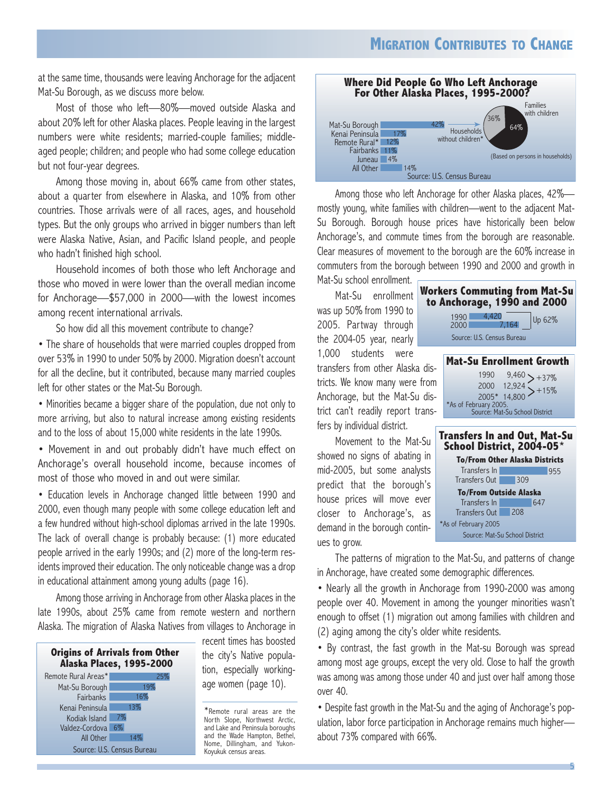at the same time, thousands were leaving Anchorage for the adjacent Mat-Su Borough, as we discuss more below.

Most of those who left—80%—moved outside Alaska and about 20% left for other Alaska places. People leaving in the largest numbers were white residents; married-couple families; middleaged people; children; and people who had some college education but not four-year degrees.

Among those moving in, about 66% came from other states, about a quarter from elsewhere in Alaska, and 10% from other countries. Those arrivals were of all races, ages, and household types. But the only groups who arrived in bigger numbers than left were Alaska Native, Asian, and Pacific Island people, and people who hadn't finished high school.

Household incomes of both those who left Anchorage and those who moved in were lower than the overall median income for Anchorage—\$57,000 in 2000—with the lowest incomes among recent international arrivals.

So how did all this movement contribute to change?

• The share of households that were married couples dropped from over 53% in 1990 to under 50% by 2000. Migration doesn't account for all the decline, but it contributed, because many married couples left for other states or the Mat-Su Borough.

• Minorities became a bigger share of the population, due not only to more arriving, but also to natural increase among existing residents and to the loss of about 15,000 white residents in the late 1990s.

• Movement in and out probably didn't have much effect on Anchorage's overall household income, because incomes of most of those who moved in and out were similar.

• Education levels in Anchorage changed little between 1990 and 2000, even though many people with some college education left and a few hundred without high-school diplomas arrived in the late 1990s. The lack of overall change is probably because: (1) more educated people arrived in the early 1990s; and (2) more of the long-term residents improved their education. The only noticeable change was a drop in educational attainment among young adults (page 16).

Among those arriving in Anchorage from other Alaska places in the late 1990s, about 25% came from remote western and northern Alaska. The migration of Alaska Natives from villages to Anchorage in

| <b>Origins of Arrivals from Other</b><br><b>Alaska Places, 1995-2000</b> |                            |  |  |
|--------------------------------------------------------------------------|----------------------------|--|--|
| Remote Rural Areas*                                                      | 25%                        |  |  |
| Mat-Su Borough                                                           | 19%                        |  |  |
| <b>Fairbanks</b>                                                         | 16%                        |  |  |
| Kenai Peninsula                                                          | 13%                        |  |  |
| Kodiak Island                                                            | 7%                         |  |  |
| Valdez-Cordova 6%                                                        |                            |  |  |
| All Other                                                                | 14%                        |  |  |
|                                                                          | Source: U.S. Census Bureau |  |  |

recent times has boosted the city's Native population, especially workingage women (page 10).

\*Remote rural areas are the North Slope, Northwest Arctic, and Lake and Peninsula boroughs and the Wade Hampton, Bethel, Nome, Dillingham, and Yukon-Koyukuk census areas.



Among those who left Anchorage for other Alaska places, 42% mostly young, white families with children—went to the adjacent Mat-Su Borough. Borough house prices have historically been below Anchorage's, and commute times from the borough are reasonable. Clear measures of movement to the borough are the 60% increase in commuters from the borough between 1990 and 2000 and growth in Mat-Su school enrollment.

Mat-Su enrollment was up 50% from 1990 to 2005. Partway through the 2004-05 year, nearly 1,000 students were transfers from other Alaska districts. We know many were from Anchorage, but the Mat-Su district can't readily report transfers by individual district.

Movement to the Mat-Su showed no signs of abating in mid-2005, but some analysts predict that the borough's house prices will move ever closer to Anchorage's, as demand in the borough continues to grow.



Source: Mat-Su School District

The patterns of migration to the Mat-Su, and patterns of change in Anchorage, have created some demographic differences.

\*As of February 2005

• Nearly all the growth in Anchorage from 1990-2000 was among people over 40. Movement in among the younger minorities wasn't enough to offset (1) migration out among families with children and (2) aging among the city's older white residents.

• By contrast, the fast growth in the Mat-su Borough was spread among most age groups, except the very old. Close to half the growth was among was among those under 40 and just over half among those over 40.

• Despite fast growth in the Mat-Su and the aging of Anchorage's population, labor force participation in Anchorage remains much higher about 73% compared with 66%.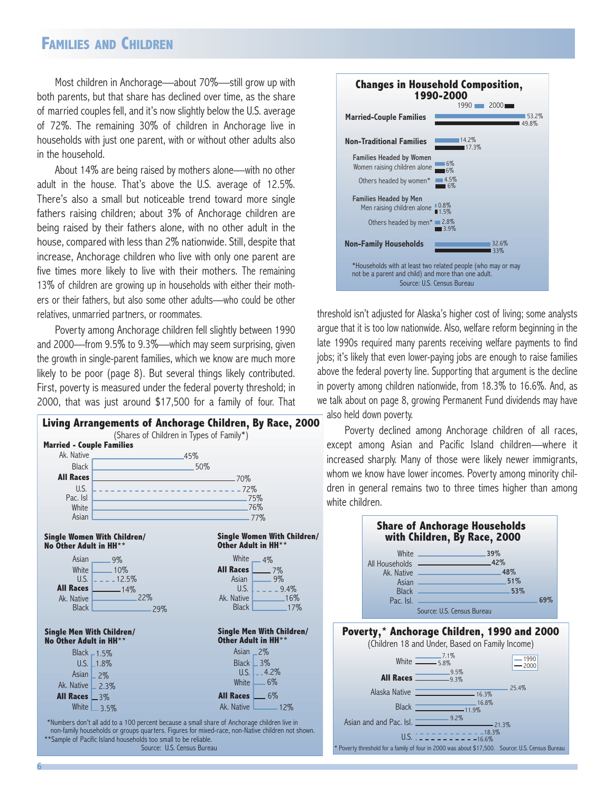### **FAMILIES AND CHILDREN**

Most children in Anchorage—about 70%—still grow up with both parents, but that share has declined over time, as the share of married couples fell, and it's now slightly below the U.S. average of 72%. The remaining 30% of children in Anchorage live in households with just one parent, with or without other adults also in the household.

About 14% are being raised by mothers alone—with no other adult in the house. That's above the U.S. average of 12.5%. There's also a small but noticeable trend toward more single fathers raising children; about 3% of Anchorage children are being raised by their fathers alone, with no other adult in the house, compared with less than 2% nationwide. Still, despite that increase, Anchorage children who live with only one parent are five times more likely to live with their mothers. The remaining 13% of children are growing up in households with either their mothers or their fathers, but also some other adults—who could be other relatives, unmarried partners, or roommates.

Poverty among Anchorage children fell slightly between 1990 and 2000—from 9.5% to 9.3%—which may seem surprising, given the growth in single-parent families, which we know are much more likely to be poor (page 8). But several things likely contributed. First, poverty is measured under the federal poverty threshold; in 2000, that was just around \$17,500 for a family of four. That





threshold isn't adjusted for Alaska's higher cost of living; some analysts argue that it is too low nationwide. Also, welfare reform beginning in the late 1990s required many parents receiving welfare payments to find jobs; it's likely that even lower-paying jobs are enough to raise families above the federal poverty line. Supporting that argument is the decline in poverty among children nationwide, from 18.3% to 16.6%. And, as we talk about on page 8, growing Permanent Fund dividends may have also held down poverty.

Poverty declined among Anchorage children of all races, except among Asian and Pacific Island children—where it increased sharply. Many of those were likely newer immigrants, whom we know have lower incomes. Poverty among minority children in general remains two to three times higher than among white children.



Poverty threshold for a family of four in 2000 was about \$17,500. Source: U.S. Census Bureau

U.S. <del>. . . . . . . . . . . . .</del> 18.3<mark>%</mark>

Source: U.S. Census Bureau

6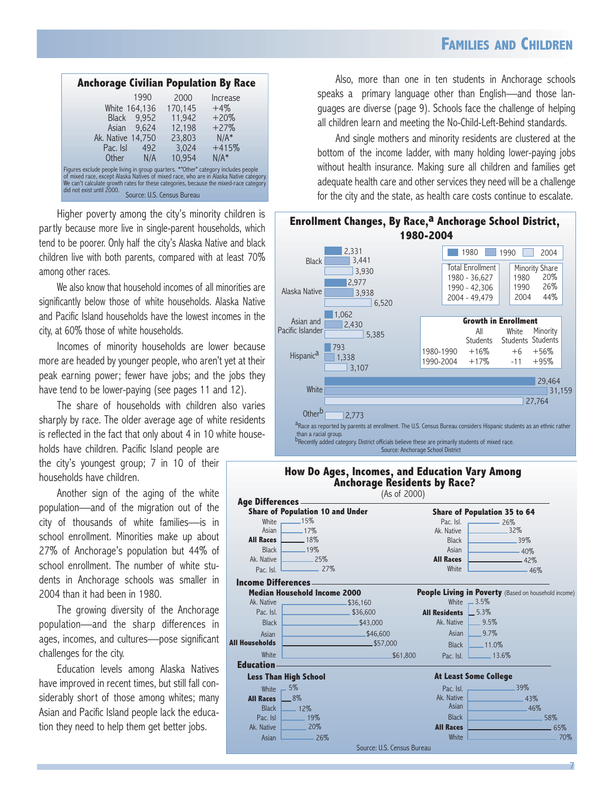| <b>Anchorage Civilian Population By Race</b>                                                                                                                                                                                                                                                       |      |                            |          |
|----------------------------------------------------------------------------------------------------------------------------------------------------------------------------------------------------------------------------------------------------------------------------------------------------|------|----------------------------|----------|
|                                                                                                                                                                                                                                                                                                    | 1990 | 2000                       | Increase |
| White 164,136                                                                                                                                                                                                                                                                                      |      | 170,145                    | $+4\%$   |
| Black 9,952                                                                                                                                                                                                                                                                                        |      | 11.942                     | $+20%$   |
| Asian 9.624                                                                                                                                                                                                                                                                                        |      | 12.198                     | $+27%$   |
| Ak. Native 14,750                                                                                                                                                                                                                                                                                  |      | 23,803                     | $N/A^*$  |
| Pac. Isl                                                                                                                                                                                                                                                                                           | 492  | 3.024                      | $+415%$  |
| Other                                                                                                                                                                                                                                                                                              | N/A  | 10.954                     | $N/A^*$  |
| Figures exclude people living in group quarters. *"Other" category includes people<br>of mixed race, except Alaska Natives of mixed race, who are in Alaska Native category.<br>We can't calculate growth rates for these categories, because the mixed-race category<br>did not exist until 2000. |      | Source: U.S. Census Bureau |          |

Higher poverty among the city's minority children is partly because more live in single-parent households, which tend to be poorer. Only half the city's Alaska Native and black children live with both parents, compared with at least 70% among other races.

We also know that household incomes of all minorities are significantly below those of white households. Alaska Native and Pacific Island households have the lowest incomes in the city, at 60% those of white households.

Incomes of minority households are lower because more are headed by younger people, who aren't yet at their peak earning power; fewer have jobs; and the jobs they have tend to be lower-paying (see pages 11 and 12).

The share of households with children also varies sharply by race. The older average age of white residents is reflected in the fact that only about 4 in 10 white house-

holds have children. Pacific Island people are the city's youngest group; 7 in 10 of their households have children.

Another sign of the aging of the white population—and of the migration out of the city of thousands of white families—is in school enrollment. Minorities make up about 27% of Anchorage's population but 44% of school enrollment. The number of white students in Anchorage schools was smaller in 2004 than it had been in 1980.

The growing diversity of the Anchorage population—and the sharp differences in ages, incomes, and cultures—pose significant challenges for the city.

Education levels among Alaska Natives have improved in recent times, but still fall considerably short of those among whites; many Asian and Pacific Island people lack the education they need to help them get better jobs.

Also, more than one in ten students in Anchorage schools speaks a primary language other than English—and those languages are diverse (page 9). Schools face the challenge of helping all children learn and meeting the No-Child-Left-Behind standards.

And single mothers and minority residents are clustered at the bottom of the income ladder, with many holding lower-paying jobs without health insurance. Making sure all children and families get adequate health care and other services they need will be a challenge for the city and the state, as health care costs continue to escalate.



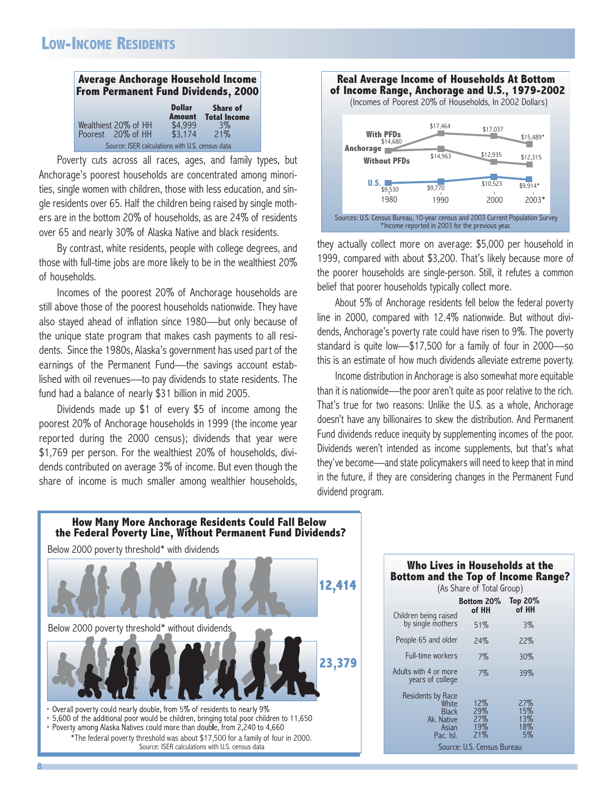## **LOW-INCOME RESIDENTS**

| <b>Average Anchorage Household Income</b><br><b>From Permanent Fund Dividends, 2000</b> |                                |                                        |  |
|-----------------------------------------------------------------------------------------|--------------------------------|----------------------------------------|--|
|                                                                                         | <b>Dollar</b><br><b>Amount</b> | <b>Share of</b><br><b>Total Income</b> |  |
| Wealthiest 20% of HH<br>Poorest 20% of HH                                               | \$4.999<br>\$3,174             | $3\%$<br>21%                           |  |
| Source: ISER calculations with U.S. census data                                         |                                |                                        |  |

Poverty cuts across all races, ages, and family types, but Anchorage's poorest households are concentrated among minorities, single women with children, those with less education, and single residents over 65. Half the children being raised by single mothers are in the bottom 20% of households, as are 24% of residents over 65 and nearly 30% of Alaska Native and black residents.

By contrast, white residents, people with college degrees, and those with full-time jobs are more likely to be in the wealthiest 20% of households.

Incomes of the poorest 20% of Anchorage households are still above those of the poorest households nationwide. They have also stayed ahead of inflation since 1980—but only because of the unique state program that makes cash payments to all residents. Since the 1980s, Alaska's government has used part of the earnings of the Permanent Fund—the savings account established with oil revenues—to pay dividends to state residents. The fund had a balance of nearly \$31 billion in mid 2005.

Dividends made up \$1 of every \$5 of income among the poorest 20% of Anchorage households in 1999 (the income year reported during the 2000 census); dividends that year were \$1,769 per person. For the wealthiest 20% of households, dividends contributed on average 3% of income. But even though the share of income is much smaller among wealthier households,



they actually collect more on average: \$5,000 per household in 1999, compared with about \$3,200. That's likely because more of the poorer households are single-person. Still, it refutes a common belief that poorer households typically collect more.

About 5% of Anchorage residents fell below the federal poverty line in 2000, compared with 12.4% nationwide. But without dividends, Anchorage's poverty rate could have risen to 9%. The poverty standard is quite low—\$17,500 for a family of four in 2000—so this is an estimate of how much dividends alleviate extreme poverty.

Income distribution in Anchorage is also somewhat more equitable than it is nationwide—the poor aren't quite as poor relative to the rich. That's true for two reasons: Unlike the U.S. as a whole, Anchorage doesn't have any billionaires to skew the distribution. And Permanent Fund dividends reduce inequity by supplementing incomes of the poor. Dividends weren't intended as income supplements, but that's what they've become—and state policymakers will need to keep that in mind in the future, if they are considering changes in the Permanent Fund dividend program.



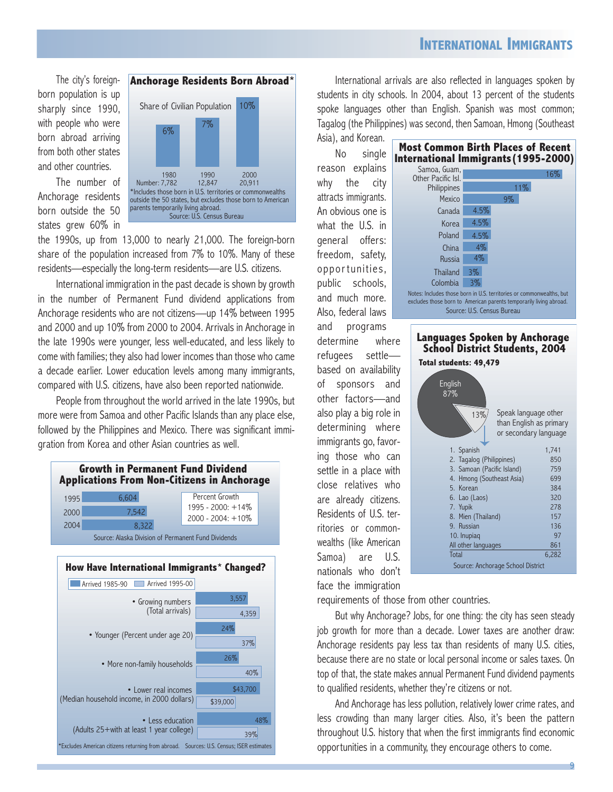## **INTERNATIONAL IMMIGRANTS**

The city's foreignborn population is up sharply since 1990, with people who were born abroad arriving from both other states and other countries.

The number of Anchorage residents born outside the 50 states grew 60% in



the 1990s, up from 13,000 to nearly 21,000. The foreign-born share of the population increased from 7% to 10%. Many of these residents—especially the long-term residents—are U.S. citizens.

International immigration in the past decade is shown by growth in the number of Permanent Fund dividend applications from Anchorage residents who are not citizens—up 14% between 1995 and 2000 and up 10% from 2000 to 2004. Arrivals in Anchorage in the late 1990s were younger, less well-educated, and less likely to come with families; they also had lower incomes than those who came a decade earlier. Lower education levels among many immigrants, compared with U.S. citizens, have also been reported nationwide.

People from throughout the world arrived in the late 1990s, but more were from Samoa and other Pacific Islands than any place else, followed by the Philippines and Mexico. There was significant immigration from Korea and other Asian countries as well.





International arrivals are also reflected in languages spoken by students in city schools. In 2004, about 13 percent of the students spoke languages other than English. Spanish was most common; Tagalog (the Philippines) was second, then Samoan, Hmong (Southeast

### Asia), and Korean. No single reason explains why the city attracts immigrants. An obvious one is what the U.S. in general offers: freedom, safety, opportunities, public schools, and much more. Also, federal laws and programs determine where refugees settle based on availability of sponsors and other factors—and also play a big role in determining where immigrants go, favoring those who can settle in a place with close relatives who are already citizens. Residents of U.S. territories or commonwealths (like American Samoa) are U.S. nationals who don't face the immigration

| <b>Most Common Birth Places of Recent</b><br>International Immigrants (1995-2000)                                                          |       |                            |     |  |
|--------------------------------------------------------------------------------------------------------------------------------------------|-------|----------------------------|-----|--|
| Samoa, Guam,<br>Other Pacific Isl.                                                                                                         |       |                            | 16% |  |
| Philippines                                                                                                                                |       | $11\%$                     |     |  |
| Mexico                                                                                                                                     |       | $9\%$                      |     |  |
| Canada                                                                                                                                     | 4.5%  |                            |     |  |
| Korea                                                                                                                                      | 4.5%  |                            |     |  |
| Poland                                                                                                                                     | 4.5%  |                            |     |  |
| China                                                                                                                                      | 4%    |                            |     |  |
| <b>Russia</b>                                                                                                                              | $4\%$ |                            |     |  |
| <b>Thailand</b>                                                                                                                            | $3\%$ |                            |     |  |
| Colombia                                                                                                                                   | $3\%$ |                            |     |  |
| Notes: Includes those born in U.S. territories or commonwealths, but<br>excludes those born to American parents temporarily living abroad. |       |                            |     |  |
|                                                                                                                                            |       | Source: U.S. Census Bureau |     |  |
|                                                                                                                                            |       |                            |     |  |



requirements of those from other countries.

But why Anchorage? Jobs, for one thing: the city has seen steady job growth for more than a decade. Lower taxes are another draw: Anchorage residents pay less tax than residents of many U.S. cities, because there are no state or local personal income or sales taxes. On top of that, the state makes annual Permanent Fund dividend payments to qualified residents, whether they're citizens or not.

And Anchorage has less pollution, relatively lower crime rates, and less crowding than many larger cities. Also, it's been the pattern throughout U.S. history that when the first immigrants find economic opportunities in a community, they encourage others to come.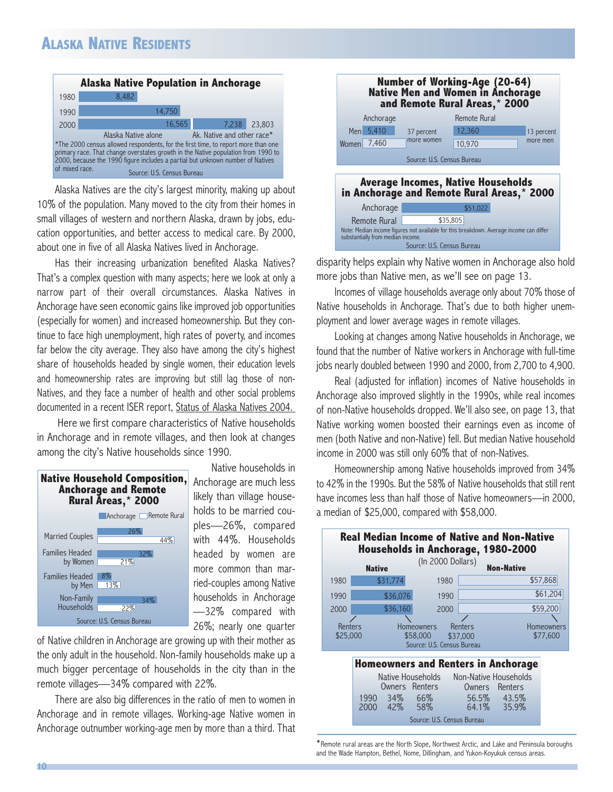# **ALASKA NATIVE RESIDENTS**



Alaska Natives are the city's largest minority, making up about 10% of the population. Many moved to the city from their homes in small villages of western and northern Alaska, drawn by jobs, education opportunities, and better access to medical care. By 2000, about one in five of all Alaska Natives lived in Anchorage.

Has their increasing urbanization benefited Alaska Natives? That's a complex question with many aspects; here we look at only a narrow part of their overall circumstances. Alaska Natives in Anchorage have seen economic gains like improved job opportunities (especially for women) and increased homeownership. But they continue to face high unemployment, high rates of poverty, and incomes far below the city average. They also have among the city's highest share of households headed by single women, their education levels and homeownership rates are improving but still lag those of non-Natives, and they face a number of health and other social problems documented in a recent ISER report, Status of Alaska Natives 2004.

Here we first compare characteristics of Native households in Anchorage and in remote villages, and then look at changes among the city's Native households since 1990.



Native households in Anchorage are much less likely than village households to be married couples—26%, compared with 44%. Households headed by women are more common than married-couples among Native households in Anchorage —32% compared with 26%; nearly one quarter

of Native children in Anchorage are growing up with their mother as the only adult in the household. Non-family households make up a much bigger percentage of households in the city than in the remote villages—34% compared with 22%.

There are also big differences in the ratio of men to women in Anchorage and in remote villages. Working-age Native women in Anchorage outnumber working-age men by more than a third. That

|             |                                   |                            | <b>Number of Working-Age (20-64)</b><br><b>Native Men and Women in Anchorage</b><br>and Remote Rural Areas,* 2000 |            |
|-------------|-----------------------------------|----------------------------|-------------------------------------------------------------------------------------------------------------------|------------|
|             | Anchorage                         |                            | Remote Rural                                                                                                      |            |
|             | Men 5,410                         | 37 percent                 | 12,360                                                                                                            | 13 percent |
| Women 7,460 |                                   | more women                 | 10,970                                                                                                            | more men   |
|             |                                   | Source: U.S. Census Bureau |                                                                                                                   |            |
|             |                                   |                            | <b>Average Incomes, Native Households</b><br>in Anchorage and Remote Rural Areas,* 2000                           |            |
|             | Anchorage                         |                            | \$51,022                                                                                                          |            |
|             | Remote Rural                      |                            | \$35,805                                                                                                          |            |
|             | substantially from median income. |                            | Note: Median income figures not available for this breakdown. Average income can differ                           |            |
|             |                                   | Source: U.S. Census Bureau |                                                                                                                   |            |

disparity helps explain why Native women in Anchorage also hold more jobs than Native men, as we'll see on page 13.

Incomes of village households average only about 70% those of Native households in Anchorage. That's due to both higher unemployment and lower average wages in remote villages.

Looking at changes among Native households in Anchorage, we found that the number of Native workers in Anchorage with full-time jobs nearly doubled between 1990 and 2000, from 2,700 to 4,900.

Real (adjusted for inflation) incomes of Native households in Anchorage also improved slightly in the 1990s, while real incomes of non-Native households dropped. We'll also see, on page 13, that Native working women boosted their earnings even as income of men (both Native and non-Native) fell. But median Native household income in 2000 was still only 60% that of non-Natives.

Homeownership among Native households improved from 34% to 42% in the 1990s. But the 58% of Native households that still rent have incomes less than half those of Native homeowners—in 2000, a median of \$25,000, compared with \$58,000.

|                     | <b>Real Median Income of Native and Non-Native</b><br><b>Households in Anchorage, 1980-2000</b> |                            |                                 |                        |
|---------------------|-------------------------------------------------------------------------------------------------|----------------------------|---------------------------------|------------------------|
|                     | <b>Native</b>                                                                                   | (In 2000 Dollars)          |                                 | <b>Non-Native</b>      |
| 1980                | \$31,774                                                                                        | 1980                       |                                 | \$57,868               |
| 1990                | \$36,076                                                                                        | 1990                       |                                 | \$61,204               |
| 2000                | \$36,160                                                                                        | 2000                       |                                 | \$59,200               |
| Renters<br>\$25,000 | Homeowners<br>\$58,000                                                                          | Source: U.S. Census Bureau | Renters<br>\$37,000             | Homeowners<br>\$77,600 |
|                     | <b>Homeowners and Renters in Anchorage</b><br>Native Households<br>Owners Renters               |                            | Non-Native Households<br>Owners | Renters                |

|                            |     | Owners Renters |          | Owners Renters |
|----------------------------|-----|----------------|----------|----------------|
| 1990                       | 34% | 66%            | 56.5%    | 43.5%          |
| 2000                       | 42% | 58%            | $64.1\%$ | 35.9%          |
| Source: U.S. Census Bureau |     |                |          |                |

\*Remote rural areas are the North Slope, Northwest Arctic, and Lake and Peninsula boroughs and the Wade Hampton, Bethel, Nome, Dillingham, and Yukon-Koyukuk census areas.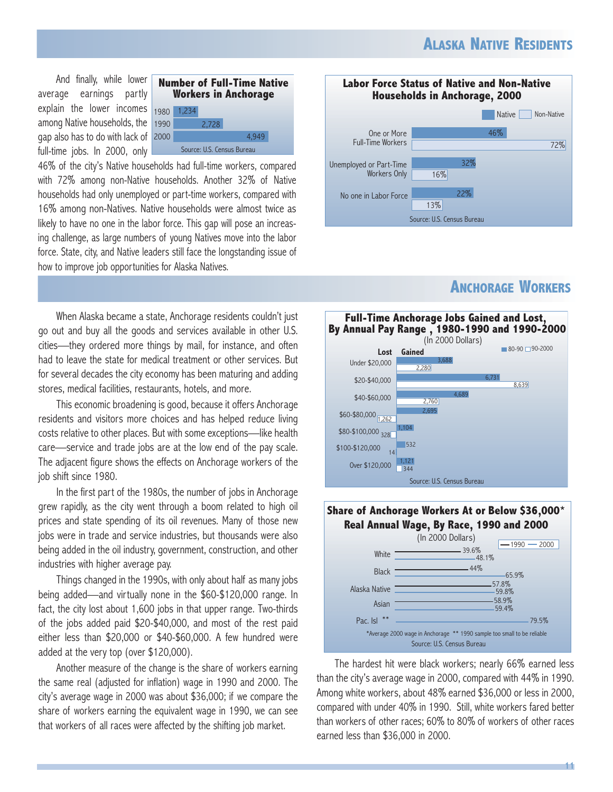And finally, while lower average earnings partly explain the lower incomes among Native households, the gap also has to do with lack of full-time jobs. In 2000, only



46% of the city's Native households had full-time workers, compared with 72% among non-Native households. Another 32% of Native households had only unemployed or part-time workers, compared with 16% among non-Natives. Native households were almost twice as likely to have no one in the labor force. This gap will pose an increasing challenge, as large numbers of young Natives move into the labor force. State, city, and Native leaders still face the longstanding issue of how to improve job opportunities for Alaska Natives.



This economic broadening is good, because it offers Anchorage residents and visitors more choices and has helped reduce living costs relative to other places. But with some exceptions—like health care—service and trade jobs are at the low end of the pay scale. The adjacent figure shows the effects on Anchorage workers of the job shift since 1980.

In the first part of the 1980s, the number of jobs in Anchorage grew rapidly, as the city went through a boom related to high oil prices and state spending of its oil revenues. Many of those new jobs were in trade and service industries, but thousands were also being added in the oil industry, government, construction, and other industries with higher average pay.

Things changed in the 1990s, with only about half as many jobs being added—and virtually none in the \$60-\$120,000 range. In fact, the city lost about 1,600 jobs in that upper range. Two-thirds of the jobs added paid \$20-\$40,000, and most of the rest paid either less than \$20,000 or \$40-\$60,000. A few hundred were added at the very top (over \$120,000).

Another measure of the change is the share of workers earning the same real (adjusted for inflation) wage in 1990 and 2000. The city's average wage in 2000 was about \$36,000; if we compare the share of workers earning the equivalent wage in 1990, we can see that workers of all races were affected by the shifting job market.



## **ANCHORAGE WORKERS**





The hardest hit were black workers; nearly 66% earned less than the city's average wage in 2000, compared with 44% in 1990. Among white workers, about 48% earned \$36,000 or less in 2000, compared with under 40% in 1990. Still, white workers fared better than workers of other races; 60% to 80% of workers of other races earned less than \$36,000 in 2000.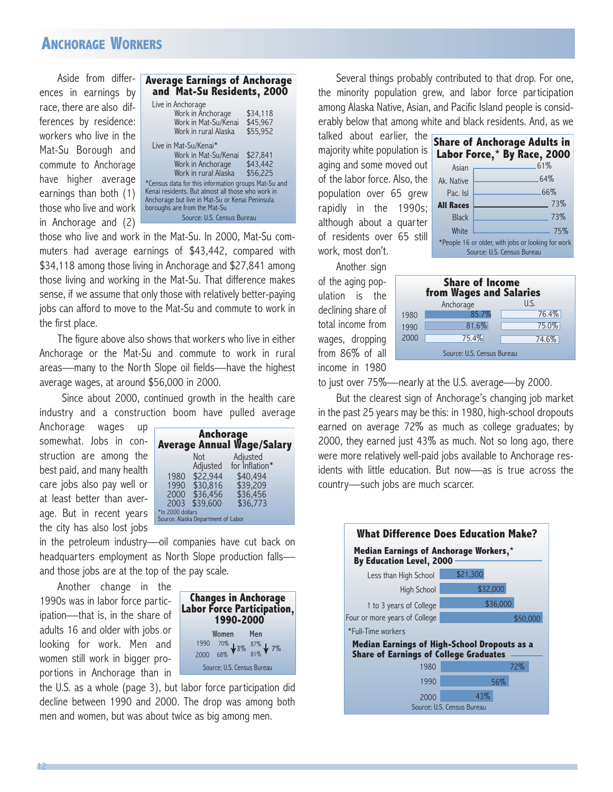## **ANCHORAGE WORKERS**

Aside from differences in earnings by race, there are also differences by residence: workers who live in the Mat-Su Borough and commute to Anchorage have higher average earnings than both (1) those who live and work in Anchorage and (2)

| Live in Anchorage<br>Work in Anchorage<br>\$34.118                                                                                                                                                                        |  |  |
|---------------------------------------------------------------------------------------------------------------------------------------------------------------------------------------------------------------------------|--|--|
| Work in Mat-Su/Kenai<br>\$45,967<br>Work in rural Alaska<br>\$55.952                                                                                                                                                      |  |  |
| Live in Mat-Su/Kenai*<br>Work in Mat-Su/Kenai<br>\$27,841<br>\$43.442<br>Work in Anchorage<br>Work in rural Alaska<br>\$56,225                                                                                            |  |  |
| *Census data for this information groups Mat-Su and<br>Kenai residents. But almost all those who work in<br>Anchorage but live in Mat-Su or Kenai Peninsula<br>boroughs are from the Mat-Su<br>Source: U.S. Census Bureau |  |  |

those who live and work in the Mat-Su. In 2000, Mat-Su commuters had average earnings of \$43,442, compared with \$34,118 among those living in Anchorage and \$27,841 among those living and working in the Mat-Su. That difference makes sense, if we assume that only those with relatively better-paying jobs can afford to move to the Mat-Su and commute to work in the first place.

The figure above also shows that workers who live in either Anchorage or the Mat-Su and commute to work in rural areas—many to the North Slope oil fields—have the highest average wages, at around \$56,000 in 2000.

Since about 2000, continued growth in the health care industry and a construction boom have pulled average

Anchorage wages up somewhat. Jobs in construction are among the best paid, and many health care jobs also pay well or at least better than average. But in recent years the city has also lost jobs

|                  | <b>Anchorage</b>                   | <b>Average Annual Wage/Salary</b> |  |
|------------------|------------------------------------|-----------------------------------|--|
|                  | <b>Not</b>                         | Adjusted                          |  |
|                  | Adjusted                           | for Inflation*                    |  |
| 1980             | \$22,944                           | \$40,494                          |  |
| 1990             | \$30.816                           | \$39,209                          |  |
| 2000             | \$36,456                           | \$36,456                          |  |
|                  | 2003 \$39,600                      | \$36,773                          |  |
| *In 2000 dollars | Source: Alaska Department of Labor |                                   |  |

in the petroleum industry—oil companies have cut back on headquarters employment as North Slope production falls and those jobs are at the top of the pay scale.

Another change in the 1990s was in labor force participation—that is, in the share of adults 16 and older with jobs or looking for work. Men and women still work in bigger proportions in Anchorage than in



the U.S. as a whole (page 3), but labor force participation did decline between 1990 and 2000. The drop was among both men and women, but was about twice as big among men.

Several things probably contributed to that drop. For one, the minority population grew, and labor force participation among Alaska Native, Asian, and Pacific Island people is considerably below that among white and black residents. And, as we

talked about earlier, the majority white population is aging and some moved out of the labor force. Also, the population over 65 grew rapidly in the 1990s; although about a quarter of residents over 65 still work, most don't.

|                                                                                  | Share of Anchorage Adults in |  |  |
|----------------------------------------------------------------------------------|------------------------------|--|--|
|                                                                                  | Labor Force,* By Race, 2000  |  |  |
| Asian                                                                            | 61%                          |  |  |
| Ak. Native                                                                       | .64%                         |  |  |
| Pac. Isl                                                                         | .66%                         |  |  |
| <b>All Races</b>                                                                 | 73%                          |  |  |
| <b>Black</b>                                                                     | 73%                          |  |  |
| White                                                                            | 75%                          |  |  |
| *People 16 or older, with jobs or looking for work<br>Source: U.S. Census Bureau |                              |  |  |
|                                                                                  |                              |  |  |

Another sign of the aging population is the declining share of total income from wages, dropping from 86% of all income in 1980

| <b>Share of Income</b><br><b>from Wages and Salaries</b> |           |       |  |
|----------------------------------------------------------|-----------|-------|--|
|                                                          | Anchorage | U.S.  |  |
| 1980                                                     | 85.7%     | 76.4% |  |
| 1990                                                     | 81.6%     | 75.0% |  |
| 2000                                                     | 75.4%     | 74.6% |  |
| Source: U.S. Census Bureau                               |           |       |  |

to just over 75%—nearly at the U.S. average—by 2000.

But the clearest sign of Anchorage's changing job market in the past 25 years may be this: in 1980, high-school dropouts earned on average 72% as much as college graduates; by 2000, they earned just 43% as much. Not so long ago, there were more relatively well-paid jobs available to Anchorage residents with little education. But now—as is true across the country—such jobs are much scarcer.

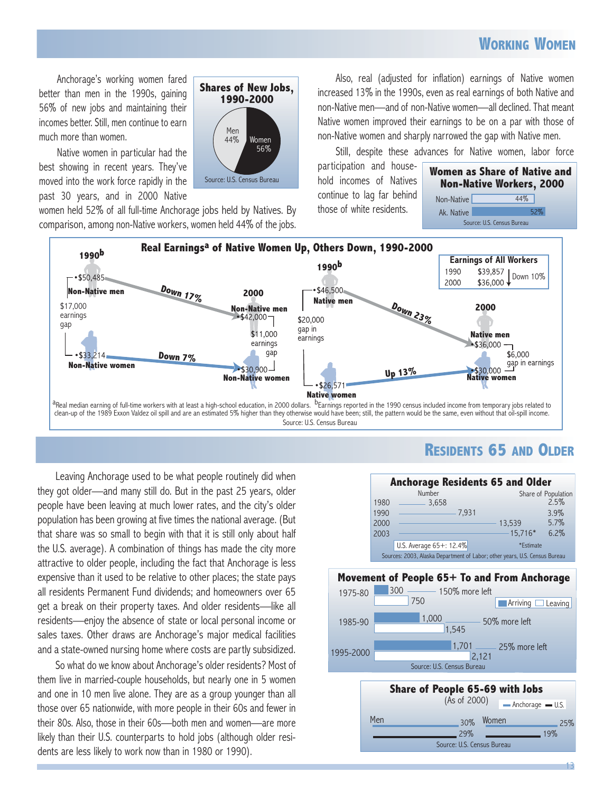## **WORKING WOMEN**

Anchorage's working women fared better than men in the 1990s, gaining 56% of new jobs and maintaining their incomes better. Still, men continue to earn much more than women.

Native women in particular had the best showing in recent years. They've moved into the work force rapidly in the past 30 years, and in 2000 Native

 $1'$ I<sup>V</sup>ICII  $44/$ **Shares of New Jobs, 1990-2000**  Source: U.S. Census Bureau Men Women 56%

women held 52% of all full-time Anchorage jobs held by Natives. By comparison, among non-Native workers, women held 44% of the jobs.

Also, real (adjusted for inflation) earnings of Native women increased 13% in the 1990s, even as real earnings of both Native and non-Native men—and of non-Native women—all declined. That meant Native women improved their earnings to be on a par with those of non-Native women and sharply narrowed the gap with Native men.

Still, despite these advances for Native women, labor force

participation and household incomes of Natives continue to lag far behind those of white residents.





**RESIDENTS 65 AND OLDER**

Leaving Anchorage used to be what people routinely did when they got older—and many still do. But in the past 25 years, older people have been leaving at much lower rates, and the city's older population has been growing at five times the national average. (But that share was so small to begin with that it is still only about half the U.S. average). A combination of things has made the city more attractive to older people, including the fact that Anchorage is less expensive than it used to be relative to other places; the state pays all residents Permanent Fund dividends; and homeowners over 65 get a break on their property taxes. And older residents—like all residents—enjoy the absence of state or local personal income or sales taxes. Other draws are Anchorage's major medical facilities and a state-owned nursing home where costs are partly subsidized.

So what do we know about Anchorage's older residents? Most of them live in married-couple households, but nearly one in 5 women and one in 10 men live alone. They are as a group younger than all those over 65 nationwide, with more people in their 60s and fewer in their 80s. Also, those in their 60s—both men and women—are more likely than their U.S. counterparts to hold jobs (although older residents are less likely to work now than in 1980 or 1990).



Source: U.S. Census Bureau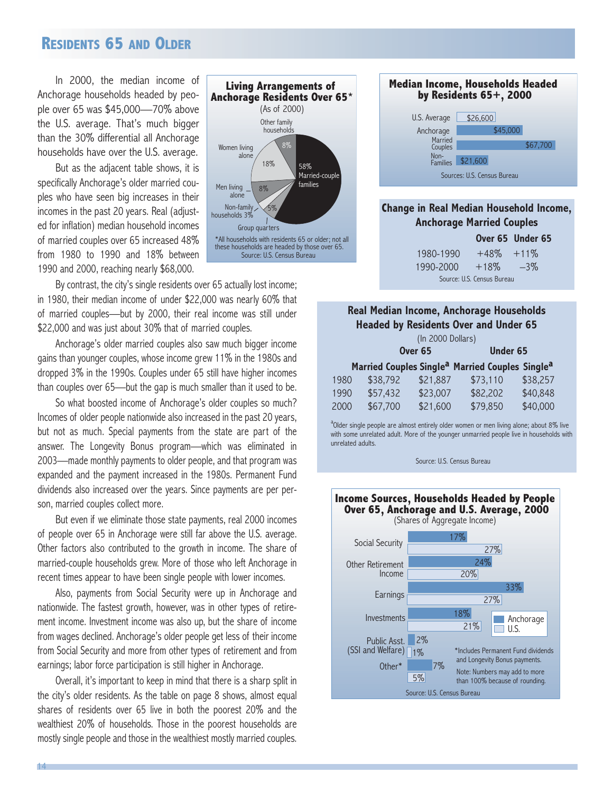### **RESIDENTS 65 AND OLDER**

In 2000, the median income of Anchorage households headed by people over 65 was \$45,000—70% above the U.S. average. That's much bigger than the 30% differential all Anchorage households have over the U.S. average.

But as the adjacent table shows, it is specifically Anchorage's older married couples who have seen big increases in their incomes in the past 20 years. Real (adjusted for inflation) median household incomes of married couples over 65 increased 48% from 1980 to 1990 and 18% between 1990 and 2000, reaching nearly \$68,000.



By contrast, the city's single residents over 65 actually lost income; in 1980, their median income of under \$22,000 was nearly 60% that of married couples—but by 2000, their real income was still under \$22,000 and was just about 30% that of married couples.

Anchorage's older married couples also saw much bigger income gains than younger couples, whose income grew 11% in the 1980s and dropped 3% in the 1990s. Couples under 65 still have higher incomes than couples over 65—but the gap is much smaller than it used to be.

So what boosted income of Anchorage's older couples so much? Incomes of older people nationwide also increased in the past 20 years, but not as much. Special payments from the state are part of the answer. The Longevity Bonus program—which was eliminated in 2003—made monthly payments to older people, and that program was expanded and the payment increased in the 1980s. Permanent Fund dividends also increased over the years. Since payments are per person, married couples collect more.

But even if we eliminate those state payments, real 2000 incomes of people over 65 in Anchorage were still far above the U.S. average. Other factors also contributed to the growth in income. The share of married-couple households grew. More of those who left Anchorage in recent times appear to have been single people with lower incomes.

Also, payments from Social Security were up in Anchorage and nationwide. The fastest growth, however, was in other types of retirement income. Investment income was also up, but the share of income from wages declined. Anchorage's older people get less of their income from Social Security and more from other types of retirement and from earnings; labor force participation is still higher in Anchorage.

Overall, it's important to keep in mind that there is a sharp split in the city's older residents. As the table on page 8 shows, almost equal shares of residents over 65 live in both the poorest 20% and the wealthiest 20% of households. Those in the poorest households are mostly single people and those in the wealthiest mostly married couples.



### **Change in Real Median Household Income, Anchorage Married Couples**

|                            |               | Over 65 Under 65 |  |  |
|----------------------------|---------------|------------------|--|--|
| 1980-1990                  | $+48\% +11\%$ |                  |  |  |
| 1990-2000                  | $+18\%$       | $-3\%$           |  |  |
| Source: U.S. Census Bureau |               |                  |  |  |

### **Real Median Income, Anchorage Households Headed by Residents Over and Under 65**

| (In 2000 Dollars) |                      |                                  |                 |                                  |                                                                                                             |  |  |
|-------------------|----------------------|----------------------------------|-----------------|----------------------------------|-------------------------------------------------------------------------------------------------------------|--|--|
| Over 65           |                      |                                  | <b>Under 65</b> |                                  |                                                                                                             |  |  |
|                   |                      |                                  |                 |                                  |                                                                                                             |  |  |
|                   |                      |                                  |                 |                                  | \$38,257                                                                                                    |  |  |
|                   |                      |                                  |                 |                                  | \$40,848                                                                                                    |  |  |
|                   |                      |                                  |                 |                                  | \$40,000                                                                                                    |  |  |
|                   | 1980<br>1990<br>2000 | \$38,792<br>\$57,432<br>\$67,700 |                 | \$21,887<br>\$23,007<br>\$21,600 | Married Couples Single <sup>a</sup> Married Couples Single <sup>a</sup><br>\$73,110<br>\$82,202<br>\$79,850 |  |  |

<sup>a</sup>Older single people are almost entirely older women or men living alone; about 8% live with some unrelated adult. More of the younger unmarried people live in households with unrelated adults.

Source: U.S. Census Bureau

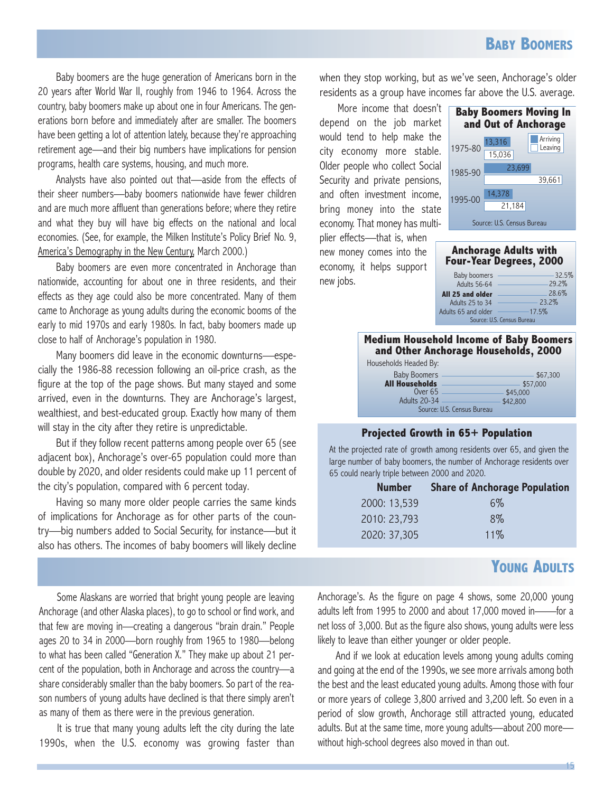Baby boomers are the huge generation of Americans born in the 20 years after World War II, roughly from 1946 to 1964. Across the country, baby boomers make up about one in four Americans. The generations born before and immediately after are smaller. The boomers have been getting a lot of attention lately, because they're approaching retirement age—and their big numbers have implications for pension programs, health care systems, housing, and much more.

Analysts have also pointed out that—aside from the effects of their sheer numbers—baby boomers nationwide have fewer children and are much more affluent than generations before; where they retire and what they buy will have big effects on the national and local economies. (See, for example, the Milken Institute's Policy Brief No. 9, America's Demography in the New Century, March 2000.)

Baby boomers are even more concentrated in Anchorage than nationwide, accounting for about one in three residents, and their effects as they age could also be more concentrated. Many of them came to Anchorage as young adults during the economic booms of the early to mid 1970s and early 1980s. In fact, baby boomers made up close to half of Anchorage's population in 1980.

Many boomers did leave in the economic downturns—especially the 1986-88 recession following an oil-price crash, as the figure at the top of the page shows. But many stayed and some arrived, even in the downturns. They are Anchorage's largest, wealthiest, and best-educated group. Exactly how many of them will stay in the city after they retire is unpredictable.

But if they follow recent patterns among people over 65 (see adjacent box), Anchorage's over-65 population could more than double by 2020, and older residents could make up 11 percent of the city's population, compared with 6 percent today.

Having so many more older people carries the same kinds of implications for Anchorage as for other parts of the country—big numbers added to Social Security, for instance—but it also has others. The incomes of baby boomers will likely decline

Some Alaskans are worried that bright young people are leaving Anchorage (and other Alaska places), to go to school or find work, and that few are moving in—creating a dangerous "brain drain." People ages 20 to 34 in 2000—born roughly from 1965 to 1980—belong to what has been called "Generation X." They make up about 21 percent of the population, both in Anchorage and across the country—a share considerably smaller than the baby boomers. So part of the reason numbers of young adults have declined is that there simply aren't as many of them as there were in the previous generation.

It is true that many young adults left the city during the late 1990s, when the U.S. economy was growing faster than when they stop working, but as we've seen, Anchorage's older residents as a group have incomes far above the U.S. average.

More income that doesn't depend on the job market would tend to help make the city economy more stable. Older people who collect Social Security and private pensions, and often investment income, bring money into the state economy. That money has multiplier effects—that is, when new money comes into the





**Anchorage Adults with Four-Year Degrees, 2000** 

| . neips support                         |                                |           |  |  |  |
|-----------------------------------------|--------------------------------|-----------|--|--|--|
|                                         | Baby boomers                   | $-32.5\%$ |  |  |  |
|                                         | Adults $56-64$ -               | -29.2%    |  |  |  |
|                                         | All 25 and older               | $-28.6%$  |  |  |  |
|                                         | Adults 25 to $34 -$            | $-23.2\%$ |  |  |  |
|                                         | Adults 65 and older —————17.5% |           |  |  |  |
|                                         | Source: U.S. Census Bureau     |           |  |  |  |
|                                         |                                |           |  |  |  |
| Medium Household Income of Baby Boomers |                                |           |  |  |  |
| and Other Anchorage Households, 2000    |                                |           |  |  |  |
|                                         |                                |           |  |  |  |

### **Projected Growth in 65+ Population**

At the projected rate of growth among residents over 65, and given the large number of baby boomers, the number of Anchorage residents over 65 could nearly triple between 2000 and 2020.

| <b>Number</b> | <b>Share of Anchorage Population</b> |
|---------------|--------------------------------------|
| 2000: 13,539  | 6%                                   |
| 2010: 23,793  | $8\%$                                |
| 2020: 37,305  | 11%                                  |

## **YOUNG ADULTS**

Anchorage's. As the figure on page 4 shows, some 20,000 young adults left from 1995 to 2000 and about 17,000 moved in——for a net loss of 3,000. But as the figure also shows, young adults were less likely to leave than either younger or older people.

And if we look at education levels among young adults coming and going at the end of the 1990s, we see more arrivals among both the best and the least educated young adults. Among those with four or more years of college 3,800 arrived and 3,200 left. So even in a period of slow growth, Anchorage still attracted young, educated adults. But at the same time, more young adults—about 200 more without high-school degrees also moved in than out.